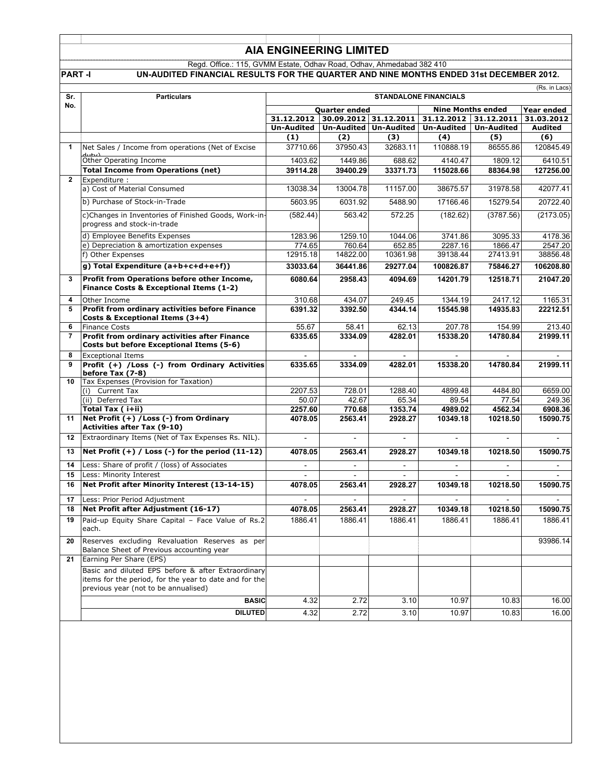# **AIA ENGINEERING LIMITED**

#### Regd. Office.: 115, GVMM Estate, Odhav Road, Odhav, Ahmedabad 382 410 **PART -I UN-AUDITED FINANCIAL RESULTS FOR THE QUARTER AND NINE MONTHS ENDED 31st DECEMBER 2012.**

| <b>\L RESULTS FOR THE QUARTER AND NINE MONTHS ENDED 31st DECEN</b> |  |
|--------------------------------------------------------------------|--|
|                                                                    |  |

| Sr.            | <b>Particulars</b>                                                                                                                                   | (Rs. in Lacs)<br><b>STANDALONE FINANCIALS</b>                             |                                |                          |                      |                          |                      |
|----------------|------------------------------------------------------------------------------------------------------------------------------------------------------|---------------------------------------------------------------------------|--------------------------------|--------------------------|----------------------|--------------------------|----------------------|
| No.            |                                                                                                                                                      |                                                                           |                                |                          |                      |                          |                      |
|                |                                                                                                                                                      | <b>Nine Months ended</b><br><b>Quarter ended</b><br>31.12.2012 31.12.2011 |                                |                          |                      | Year ended               |                      |
|                |                                                                                                                                                      | 31.12.2012                                                                | 30.09.2012 31.12.2011          |                          |                      |                          | 31.03.2012           |
|                |                                                                                                                                                      | <b>Un-Audited</b><br>(1)                                                  | Un-Audited   Un-Audited<br>(2) | (3)                      | Un-Audited<br>(4)    | <b>Un-Audited</b><br>(5) | Audited<br>(6)       |
| 1              | Net Sales / Income from operations (Net of Excise                                                                                                    | 37710.66                                                                  | 37950.43                       | 32683.11                 | 110888.19            | 86555.86                 | 120845.49            |
|                |                                                                                                                                                      |                                                                           |                                |                          |                      |                          |                      |
|                | Other Operating Income<br><b>Total Income from Operations (net)</b>                                                                                  | 1403.62<br>39114.28                                                       | 1449.86<br>39400.29            | 688.62<br>33371.73       | 4140.47<br>115028.66 | 1809.12<br>88364.98      | 6410.51<br>127256.00 |
| $\overline{2}$ | Expenditure:                                                                                                                                         |                                                                           |                                |                          |                      |                          |                      |
|                | a) Cost of Material Consumed                                                                                                                         | 13038.34                                                                  | 13004.78                       | 11157.00                 | 38675.57             | 31978.58                 | 42077.41             |
|                | b) Purchase of Stock-in-Trade                                                                                                                        | 5603.95                                                                   | 6031.92                        | 5488.90                  | 17166.46             | 15279.54                 | 20722.40             |
|                |                                                                                                                                                      |                                                                           |                                |                          |                      |                          |                      |
|                | c)Changes in Inventories of Finished Goods, Work-in-<br>progress and stock-in-trade                                                                  | (582.44)                                                                  | 563.42                         | 572.25                   | (182.62)             | (3787.56)                | (2173.05)            |
|                | d) Employee Benefits Expenses                                                                                                                        | 1283.96                                                                   | 1259.10                        | 1044.06                  | 3741.86              | 3095.33                  | 4178.36              |
|                | e) Depreciation & amortization expenses                                                                                                              | 774.65                                                                    | 760.64                         | 652.85                   | 2287.16              | 1866.47                  | 2547.20              |
|                | f) Other Expenses                                                                                                                                    | 12915.18                                                                  | 14822.00                       | 10361.98                 | 39138.44             | 27413.91                 | 38856.48             |
|                | g) Total Expenditure (a+b+c+d+e+f))                                                                                                                  | 33033.64                                                                  | 36441.86                       | 29277.04                 | 100826.87            | 75846.27                 | 106208.80            |
| 3              | Profit from Operations before other Income,<br>Finance Costs & Exceptional Items (1-2)                                                               | 6080.64                                                                   | 2958.43                        | 4094.69                  | 14201.79             | 12518.71                 | 21047.20             |
| 4              | Other Income                                                                                                                                         | 310.68                                                                    | 434.07                         | 249.45                   | 1344.19              | 2417.12                  | 1165.31              |
| 5              | Profit from ordinary activities before Finance                                                                                                       | 6391.32                                                                   | 3392.50                        | 4344.14                  | 15545.98             | 14935.83                 | 22212.51             |
|                | Costs & Exceptional Items (3+4)                                                                                                                      |                                                                           |                                |                          |                      |                          |                      |
| 6<br>7         | <b>Finance Costs</b><br>Profit from ordinary activities after Finance                                                                                | 55.67                                                                     | 58.41<br>3334.09               | 62.13                    | 207.78               | 154.99<br>14780.84       | 213.40               |
|                | Costs but before Exceptional Items (5-6)                                                                                                             | 6335.65                                                                   |                                | 4282.01                  | 15338.20             |                          | 21999.11             |
| 8<br>9         | <b>Exceptional Items</b>                                                                                                                             |                                                                           |                                |                          |                      |                          |                      |
|                | Profit (+) /Loss (-) from Ordinary Activities<br>before Tax (7-8)<br>Tax Expenses (Provision for Taxation)                                           | 6335.65                                                                   | 3334.09                        | 4282.01                  | 15338.20             | 14780.84                 | 21999.11             |
| 10             | (i) Current Tax                                                                                                                                      | 2207.53                                                                   | 728.01                         | 1288.40                  | 4899.48              | 4484.80                  | 6659.00              |
|                | (ii) Deferred Tax                                                                                                                                    | 50.07                                                                     | 42.67                          | 65.34                    | 89.54                | 77.54                    | 249.36               |
|                | Total Tax ( i+ii)                                                                                                                                    | 2257.60                                                                   | 770.68                         | 1353.74                  | 4989.02              | 4562.34                  | 6908.36              |
| 11             | Net Profit (+) / Loss (-) from Ordinary<br><b>Activities after Tax (9-10)</b>                                                                        | 4078.05                                                                   | 2563.41                        | 2928.27                  | 10349.18             | 10218.50                 | 15090.75             |
| 12             | Extraordinary Items (Net of Tax Expenses Rs. NIL).                                                                                                   | $\mathbf{r}$                                                              |                                | $\mathbf{r}$             |                      |                          |                      |
| 13             | Net Profit $(+)$ / Loss $(-)$ for the period $(11-12)$                                                                                               | 4078.05                                                                   | 2563.41                        | 2928.27                  | 10349.18             | 10218.50                 | 15090.75             |
| 14             | Less: Share of profit / (loss) of Associates                                                                                                         | $\overline{\phantom{a}}$                                                  | $\overline{\phantom{a}}$       | $\overline{\phantom{a}}$ |                      | $\overline{\phantom{a}}$ | -                    |
| 15             | Less: Minority Interest                                                                                                                              |                                                                           |                                |                          |                      |                          |                      |
| 16             | Net Profit after Minority Interest (13-14-15)                                                                                                        | 4078.05                                                                   | 2563.41                        | 2928.27                  | 10349.18             | 10218.50                 | 15090.75             |
| 17             | Less: Prior Period Adjustment                                                                                                                        |                                                                           |                                |                          |                      |                          |                      |
| 18             | Net Profit after Adjustment (16-17)                                                                                                                  | 4078.05                                                                   | 2563.41                        | 2928.27                  | 10349.18             | 10218.50                 | 15090.75             |
| 19             | Paid-up Equity Share Capital - Face Value of Rs.2<br>each.                                                                                           | 1886.41                                                                   | 1886.41                        | 1886.41                  | 1886.41              | 1886.41                  | 1886.41              |
| 20             | Reserves excluding Revaluation Reserves as per<br>Balance Sheet of Previous accounting year                                                          |                                                                           |                                |                          |                      |                          | 93986.14             |
| 21             | Earning Per Share (EPS)                                                                                                                              |                                                                           |                                |                          |                      |                          |                      |
|                | Basic and diluted EPS before & after Extraordinary<br>items for the period, for the year to date and for the<br>previous year (not to be annualised) |                                                                           |                                |                          |                      |                          |                      |
|                | <b>BASIC</b>                                                                                                                                         | 4.32                                                                      | 2.72                           | 3.10                     | 10.97                | 10.83                    | 16.00                |
|                | <b>DILUTED</b>                                                                                                                                       | 4.32                                                                      | 2.72                           | 3.10                     | 10.97                | 10.83                    | 16.00                |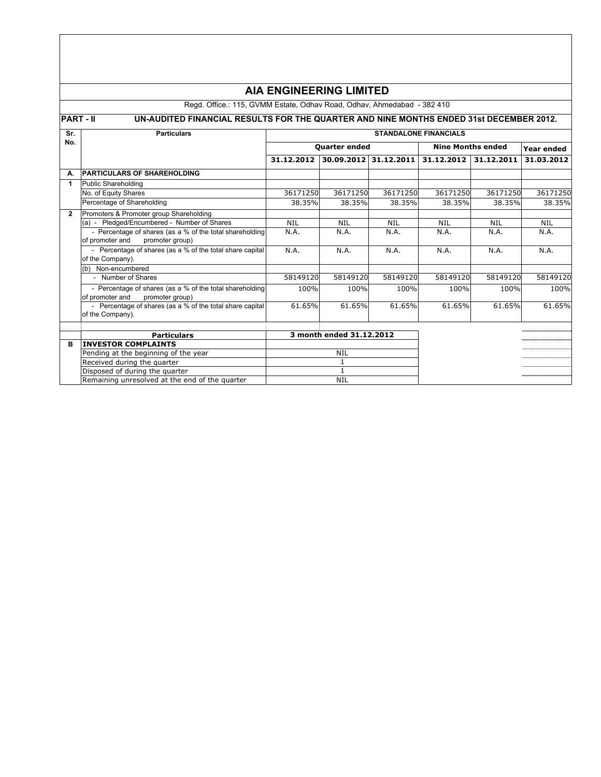|              | <b>AIA ENGINEERING LIMITED</b>                                                                           |                              |                          |                       |                          |            |            |  |
|--------------|----------------------------------------------------------------------------------------------------------|------------------------------|--------------------------|-----------------------|--------------------------|------------|------------|--|
|              | Regd. Office.: 115, GVMM Estate, Odhav Road, Odhav, Ahmedabad - 382 410                                  |                              |                          |                       |                          |            |            |  |
|              | <b>PART-II</b><br>UN-AUDITED FINANCIAL RESULTS FOR THE QUARTER AND NINE MONTHS ENDED 31st DECEMBER 2012. |                              |                          |                       |                          |            |            |  |
| Sr.          | <b>Particulars</b>                                                                                       | <b>STANDALONE FINANCIALS</b> |                          |                       |                          |            |            |  |
| No.          |                                                                                                          | <b>Quarter ended</b>         |                          |                       | <b>Nine Months ended</b> | Year ended |            |  |
|              |                                                                                                          | 31.12.2012                   |                          | 30.09.2012 31.12.2011 | 31.12.2012               | 31.12.2011 | 31.03.2012 |  |
| А.           | <b>PARTICULARS OF SHAREHOLDING</b>                                                                       |                              |                          |                       |                          |            |            |  |
| 1            | <b>Public Shareholding</b>                                                                               |                              |                          |                       |                          |            |            |  |
|              | No. of Equity Shares                                                                                     | 36171250                     | 36171250                 | 36171250              | 36171250                 | 36171250   | 36171250   |  |
|              | Percentage of Shareholding                                                                               | 38.35%                       | 38.35%                   | 38.35%                | 38.35%                   | 38.35%     | 38.35%     |  |
| $\mathbf{2}$ | Promoters & Promoter group Shareholding                                                                  |                              |                          |                       |                          |            |            |  |
|              | (a) - Pledged/Encumbered - Number of Shares                                                              | <b>NIL</b>                   | <b>NIL</b>               | <b>NIL</b>            | <b>NIL</b>               | <b>NIL</b> | <b>NIL</b> |  |
|              | - Percentage of shares (as a % of the total shareholding<br>of promoter and<br>promoter group)           | N.A.                         | N.A.                     | N.A.                  | N.A.                     | N.A.       | N.A.       |  |
|              | - Percentage of shares (as a % of the total share capital<br>of the Company).                            | N.A.                         | N.A.                     | N.A.                  | N.A.                     | N.A.       | N.A.       |  |
|              | (b) Non-encumbered                                                                                       |                              |                          |                       |                          |            |            |  |
|              | - Number of Shares                                                                                       | 58149120                     | 58149120                 | 58149120              | 58149120                 | 58149120   | 58149120   |  |
|              | - Percentage of shares (as a % of the total shareholding<br>of promoter and<br>promoter group)           | 100%                         | 100%                     | 100%                  | 100%                     | 100%       | 100%       |  |
|              | - Percentage of shares (as a % of the total share capital<br>of the Company).                            | 61.65%                       | 61.65%                   | 61.65%                | 61.65%                   | 61.65%     | 61.65%     |  |
|              | <b>Particulars</b>                                                                                       |                              | 3 month ended 31.12.2012 |                       |                          |            |            |  |
| B            | <b>INVESTOR COMPLAINTS</b>                                                                               |                              |                          |                       |                          |            |            |  |
|              | Pending at the beginning of the year                                                                     | <b>NIL</b>                   |                          |                       |                          |            |            |  |
|              | Received during the quarter                                                                              |                              | $\mathbf{1}$             |                       |                          |            |            |  |
|              | Disposed of during the quarter                                                                           |                              | $\mathbf{1}$             |                       |                          |            |            |  |
|              | Remaining unresolved at the end of the quarter                                                           |                              | <b>NIL</b>               |                       |                          |            |            |  |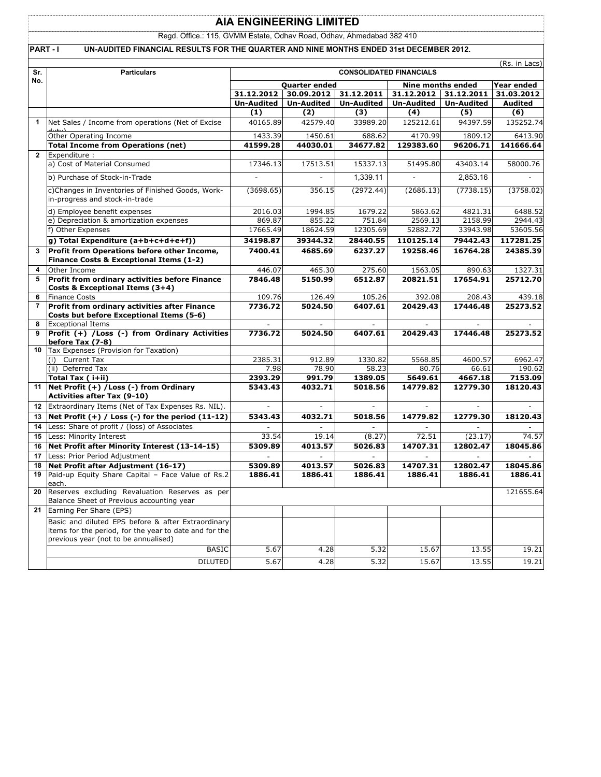# **AIA ENGINEERING LIMITED**

Regd. Office.: 115, GVMM Estate, Odhav Road, Odhav, Ahmedabad 382 410

### PART - I UN-AUDITED FINANCIAL RESULTS FOR THE QUARTER AND NINE MONTHS ENDED 31st DECEMBER 2012.

| No.<br>Nine months ended<br>Year ended<br><b>Quarter ended</b><br>31.12.2012<br>30.09.2012 31.12.2011<br>31.12.2012 31.12.2011<br>31.03.2012<br><b>Un-Audited</b><br><b>Un-Audited</b><br><b>Un-Audited</b><br><b>Un-Audited</b><br><b>Un-Audited</b><br><b>Audited</b><br>(1)<br>(2)<br>(3)<br>(4)<br>(5)<br>(6)<br>42579.40<br>94397.59<br>Net Sales / Income from operations (Net of Excise<br>40165.89<br>33989.20<br>125212.61<br>1450.61<br>4170.99<br>1809.12<br>Other Operating Income<br>1433.39<br>688.62<br><b>Total Income from Operations (net)</b><br>34677.82<br>129383.60<br>41599.28<br>44030.01<br>96206.71<br>141666.64<br>$\overline{2}$<br>Expenditure :<br>a) Cost of Material Consumed<br>17346.13<br>17513.51<br>15337.13<br>51495.80<br>43403.14<br>58000.76<br>b) Purchase of Stock-in-Trade<br>1,339.11<br>2,853.16<br>(2972.44)<br>(7738.15)<br>c)Changes in Inventories of Finished Goods, Work-<br>(3698.65)<br>356.15<br>(2686.13)<br>(3758.02)<br>in-progress and stock-in-trade<br>d) Employee benefit expenses<br>2016.03<br>1994.85<br>1679.22<br>5863.62<br>4821.31<br>e) Depreciation & amortization expenses<br>855.22<br>751.84<br>2569.13<br>2158.99<br>869.87<br>f) Other Expenses<br>17665.49<br>18624.59<br>12305.69<br>33943.98<br>52882.72<br>g) Total Expenditure (a+b+c+d+e+f))<br>34198.87<br>39344.32<br>28440.55<br>110125.14<br>79442.43<br>117281.25<br>Profit from Operations before other Income,<br>7400.41<br>4685.69<br>16764.28<br>24385.39<br>6237.27<br>19258.46<br>Finance Costs & Exceptional Items (1-2)<br>Other Income<br>446.07<br>465.30<br>275.60<br>1563.05<br>890.63<br>1327.31<br>4<br>Profit from ordinary activities before Finance<br>7846.48<br>5150.99<br>6512.87<br>20821.51<br>17654.91<br>25712.70<br>Costs & Exceptional Items (3+4)<br><b>Finance Costs</b><br>6<br>109.76<br>126.49<br>105.26<br>392.08<br>208.43<br>Profit from ordinary activities after Finance<br>20429.43<br>$\overline{7}$<br>7736.72<br>5024.50<br>6407.61<br>17446.48<br>25273.52<br>Costs but before Exceptional Items (5-6)<br><b>Exceptional Items</b><br>8<br>$\overline{\phantom{a}}$<br>$\overline{\phantom{a}}$<br>Profit (+) /Loss (-) from Ordinary Activities<br>7736.72<br>5024.50<br>6407.61<br>20429.43<br>17446.48<br>25273.52<br>9<br>before Tax (7-8)<br>Tax Expenses (Provision for Taxation)<br>10<br>Current Tax<br>2385.31<br>912.89<br>1330.82<br>5568.85<br>4600.57<br>6962.47<br>(i)<br>58.23<br>(ii) Deferred Tax<br>7.98<br>78.90<br>80.76<br>66.61<br>190.62<br>Total Tax (i+ii)<br>2393.29<br>991.79<br>1389.05<br>5649.61<br>4667.18<br>7153.09<br>Net Profit (+) / Loss (-) from Ordinary<br>5343.43<br>4032.71<br>5018.56<br>14779.82<br>12779.30<br>18120.43<br>11<br><b>Activities after Tax (9-10)</b><br>Extraordinary Items (Net of Tax Expenses Rs. NIL).<br>12<br>$\blacksquare$<br>$\blacksquare$<br>$\blacksquare$<br>$\sim$<br>$\overline{a}$<br>÷<br>Net Profit $(+)$ / Loss $(-)$ for the period $(11-12)$<br>5343.43<br>14779.82<br>12779.30<br>18120.43<br>13<br>4032.71<br>5018.56<br>14<br>Less: Share of profit / (loss) of Associates<br>Less: Minority Interest<br>33.54<br>19.14<br>(8.27)<br>72.51<br>(23.17)<br>74.57<br>15<br>Net Profit after Minority Interest (13-14-15)<br>4013.57<br>12802.47<br>16<br>5309.89<br>5026.83<br>14707.31<br>18045.86<br>Less: Prior Period Adjustment<br>17<br>18<br>Net Profit after Adjustment (16-17)<br>5309.89<br>4013.57<br>5026.83<br>14707.31<br>12802.47<br>18045.86<br>Paid-up Equity Share Capital - Face Value of Rs.2<br>19<br>1886.41<br>1886.41<br>1886.41<br>1886.41<br>1886.41<br>1886.41<br>each.<br>Reserves excluding Revaluation Reserves as per<br>121655.64<br>20<br>Balance Sheet of Previous accounting year<br>Earning Per Share (EPS)<br>21<br>Basic and diluted EPS before & after Extraordinary<br>items for the period, for the year to date and for the<br>previous year (not to be annualised)<br><b>BASIC</b><br>5.67<br>4.28<br>5.32<br>15.67<br>13.55<br><b>DILUTED</b><br>5.67<br>15.67<br>4.28<br>5.32<br>13.55 | Sr. | <b>Particulars</b> | (Rs. in Lacs)<br><b>CONSOLIDATED FINANCIALS</b> |  |  |  |  |           |
|-------------------------------------------------------------------------------------------------------------------------------------------------------------------------------------------------------------------------------------------------------------------------------------------------------------------------------------------------------------------------------------------------------------------------------------------------------------------------------------------------------------------------------------------------------------------------------------------------------------------------------------------------------------------------------------------------------------------------------------------------------------------------------------------------------------------------------------------------------------------------------------------------------------------------------------------------------------------------------------------------------------------------------------------------------------------------------------------------------------------------------------------------------------------------------------------------------------------------------------------------------------------------------------------------------------------------------------------------------------------------------------------------------------------------------------------------------------------------------------------------------------------------------------------------------------------------------------------------------------------------------------------------------------------------------------------------------------------------------------------------------------------------------------------------------------------------------------------------------------------------------------------------------------------------------------------------------------------------------------------------------------------------------------------------------------------------------------------------------------------------------------------------------------------------------------------------------------------------------------------------------------------------------------------------------------------------------------------------------------------------------------------------------------------------------------------------------------------------------------------------------------------------------------------------------------------------------------------------------------------------------------------------------------------------------------------------------------------------------------------------------------------------------------------------------------------------------------------------------------------------------------------------------------------------------------------------------------------------------------------------------------------------------------------------------------------------------------------------------------------------------------------------------------------------------------------------------------------------------------------------------------------------------------------------------------------------------------------------------------------------------------------------------------------------------------------------------------------------------------------------------------------------------------------------------------------------------------------------------------------------------------------------------------------------------------------------------------------------------------------------------------------------------------------------------------------------------------------------------------------------------------------------------------------------------------------------------------------------------------------------------------------------------------------------------------------------------------------------------|-----|--------------------|-------------------------------------------------|--|--|--|--|-----------|
|                                                                                                                                                                                                                                                                                                                                                                                                                                                                                                                                                                                                                                                                                                                                                                                                                                                                                                                                                                                                                                                                                                                                                                                                                                                                                                                                                                                                                                                                                                                                                                                                                                                                                                                                                                                                                                                                                                                                                                                                                                                                                                                                                                                                                                                                                                                                                                                                                                                                                                                                                                                                                                                                                                                                                                                                                                                                                                                                                                                                                                                                                                                                                                                                                                                                                                                                                                                                                                                                                                                                                                                                                                                                                                                                                                                                                                                                                                                                                                                                                                                                                                       |     |                    |                                                 |  |  |  |  |           |
|                                                                                                                                                                                                                                                                                                                                                                                                                                                                                                                                                                                                                                                                                                                                                                                                                                                                                                                                                                                                                                                                                                                                                                                                                                                                                                                                                                                                                                                                                                                                                                                                                                                                                                                                                                                                                                                                                                                                                                                                                                                                                                                                                                                                                                                                                                                                                                                                                                                                                                                                                                                                                                                                                                                                                                                                                                                                                                                                                                                                                                                                                                                                                                                                                                                                                                                                                                                                                                                                                                                                                                                                                                                                                                                                                                                                                                                                                                                                                                                                                                                                                                       |     |                    |                                                 |  |  |  |  |           |
|                                                                                                                                                                                                                                                                                                                                                                                                                                                                                                                                                                                                                                                                                                                                                                                                                                                                                                                                                                                                                                                                                                                                                                                                                                                                                                                                                                                                                                                                                                                                                                                                                                                                                                                                                                                                                                                                                                                                                                                                                                                                                                                                                                                                                                                                                                                                                                                                                                                                                                                                                                                                                                                                                                                                                                                                                                                                                                                                                                                                                                                                                                                                                                                                                                                                                                                                                                                                                                                                                                                                                                                                                                                                                                                                                                                                                                                                                                                                                                                                                                                                                                       |     |                    |                                                 |  |  |  |  |           |
|                                                                                                                                                                                                                                                                                                                                                                                                                                                                                                                                                                                                                                                                                                                                                                                                                                                                                                                                                                                                                                                                                                                                                                                                                                                                                                                                                                                                                                                                                                                                                                                                                                                                                                                                                                                                                                                                                                                                                                                                                                                                                                                                                                                                                                                                                                                                                                                                                                                                                                                                                                                                                                                                                                                                                                                                                                                                                                                                                                                                                                                                                                                                                                                                                                                                                                                                                                                                                                                                                                                                                                                                                                                                                                                                                                                                                                                                                                                                                                                                                                                                                                       |     |                    |                                                 |  |  |  |  |           |
|                                                                                                                                                                                                                                                                                                                                                                                                                                                                                                                                                                                                                                                                                                                                                                                                                                                                                                                                                                                                                                                                                                                                                                                                                                                                                                                                                                                                                                                                                                                                                                                                                                                                                                                                                                                                                                                                                                                                                                                                                                                                                                                                                                                                                                                                                                                                                                                                                                                                                                                                                                                                                                                                                                                                                                                                                                                                                                                                                                                                                                                                                                                                                                                                                                                                                                                                                                                                                                                                                                                                                                                                                                                                                                                                                                                                                                                                                                                                                                                                                                                                                                       |     |                    |                                                 |  |  |  |  | 135252.74 |
|                                                                                                                                                                                                                                                                                                                                                                                                                                                                                                                                                                                                                                                                                                                                                                                                                                                                                                                                                                                                                                                                                                                                                                                                                                                                                                                                                                                                                                                                                                                                                                                                                                                                                                                                                                                                                                                                                                                                                                                                                                                                                                                                                                                                                                                                                                                                                                                                                                                                                                                                                                                                                                                                                                                                                                                                                                                                                                                                                                                                                                                                                                                                                                                                                                                                                                                                                                                                                                                                                                                                                                                                                                                                                                                                                                                                                                                                                                                                                                                                                                                                                                       |     |                    |                                                 |  |  |  |  | 6413.90   |
|                                                                                                                                                                                                                                                                                                                                                                                                                                                                                                                                                                                                                                                                                                                                                                                                                                                                                                                                                                                                                                                                                                                                                                                                                                                                                                                                                                                                                                                                                                                                                                                                                                                                                                                                                                                                                                                                                                                                                                                                                                                                                                                                                                                                                                                                                                                                                                                                                                                                                                                                                                                                                                                                                                                                                                                                                                                                                                                                                                                                                                                                                                                                                                                                                                                                                                                                                                                                                                                                                                                                                                                                                                                                                                                                                                                                                                                                                                                                                                                                                                                                                                       |     |                    |                                                 |  |  |  |  |           |
|                                                                                                                                                                                                                                                                                                                                                                                                                                                                                                                                                                                                                                                                                                                                                                                                                                                                                                                                                                                                                                                                                                                                                                                                                                                                                                                                                                                                                                                                                                                                                                                                                                                                                                                                                                                                                                                                                                                                                                                                                                                                                                                                                                                                                                                                                                                                                                                                                                                                                                                                                                                                                                                                                                                                                                                                                                                                                                                                                                                                                                                                                                                                                                                                                                                                                                                                                                                                                                                                                                                                                                                                                                                                                                                                                                                                                                                                                                                                                                                                                                                                                                       |     |                    |                                                 |  |  |  |  |           |
|                                                                                                                                                                                                                                                                                                                                                                                                                                                                                                                                                                                                                                                                                                                                                                                                                                                                                                                                                                                                                                                                                                                                                                                                                                                                                                                                                                                                                                                                                                                                                                                                                                                                                                                                                                                                                                                                                                                                                                                                                                                                                                                                                                                                                                                                                                                                                                                                                                                                                                                                                                                                                                                                                                                                                                                                                                                                                                                                                                                                                                                                                                                                                                                                                                                                                                                                                                                                                                                                                                                                                                                                                                                                                                                                                                                                                                                                                                                                                                                                                                                                                                       |     |                    |                                                 |  |  |  |  |           |
|                                                                                                                                                                                                                                                                                                                                                                                                                                                                                                                                                                                                                                                                                                                                                                                                                                                                                                                                                                                                                                                                                                                                                                                                                                                                                                                                                                                                                                                                                                                                                                                                                                                                                                                                                                                                                                                                                                                                                                                                                                                                                                                                                                                                                                                                                                                                                                                                                                                                                                                                                                                                                                                                                                                                                                                                                                                                                                                                                                                                                                                                                                                                                                                                                                                                                                                                                                                                                                                                                                                                                                                                                                                                                                                                                                                                                                                                                                                                                                                                                                                                                                       |     |                    |                                                 |  |  |  |  |           |
|                                                                                                                                                                                                                                                                                                                                                                                                                                                                                                                                                                                                                                                                                                                                                                                                                                                                                                                                                                                                                                                                                                                                                                                                                                                                                                                                                                                                                                                                                                                                                                                                                                                                                                                                                                                                                                                                                                                                                                                                                                                                                                                                                                                                                                                                                                                                                                                                                                                                                                                                                                                                                                                                                                                                                                                                                                                                                                                                                                                                                                                                                                                                                                                                                                                                                                                                                                                                                                                                                                                                                                                                                                                                                                                                                                                                                                                                                                                                                                                                                                                                                                       |     |                    |                                                 |  |  |  |  |           |
|                                                                                                                                                                                                                                                                                                                                                                                                                                                                                                                                                                                                                                                                                                                                                                                                                                                                                                                                                                                                                                                                                                                                                                                                                                                                                                                                                                                                                                                                                                                                                                                                                                                                                                                                                                                                                                                                                                                                                                                                                                                                                                                                                                                                                                                                                                                                                                                                                                                                                                                                                                                                                                                                                                                                                                                                                                                                                                                                                                                                                                                                                                                                                                                                                                                                                                                                                                                                                                                                                                                                                                                                                                                                                                                                                                                                                                                                                                                                                                                                                                                                                                       |     |                    |                                                 |  |  |  |  | 6488.52   |
|                                                                                                                                                                                                                                                                                                                                                                                                                                                                                                                                                                                                                                                                                                                                                                                                                                                                                                                                                                                                                                                                                                                                                                                                                                                                                                                                                                                                                                                                                                                                                                                                                                                                                                                                                                                                                                                                                                                                                                                                                                                                                                                                                                                                                                                                                                                                                                                                                                                                                                                                                                                                                                                                                                                                                                                                                                                                                                                                                                                                                                                                                                                                                                                                                                                                                                                                                                                                                                                                                                                                                                                                                                                                                                                                                                                                                                                                                                                                                                                                                                                                                                       |     |                    |                                                 |  |  |  |  | 2944.43   |
|                                                                                                                                                                                                                                                                                                                                                                                                                                                                                                                                                                                                                                                                                                                                                                                                                                                                                                                                                                                                                                                                                                                                                                                                                                                                                                                                                                                                                                                                                                                                                                                                                                                                                                                                                                                                                                                                                                                                                                                                                                                                                                                                                                                                                                                                                                                                                                                                                                                                                                                                                                                                                                                                                                                                                                                                                                                                                                                                                                                                                                                                                                                                                                                                                                                                                                                                                                                                                                                                                                                                                                                                                                                                                                                                                                                                                                                                                                                                                                                                                                                                                                       |     |                    |                                                 |  |  |  |  | 53605.56  |
|                                                                                                                                                                                                                                                                                                                                                                                                                                                                                                                                                                                                                                                                                                                                                                                                                                                                                                                                                                                                                                                                                                                                                                                                                                                                                                                                                                                                                                                                                                                                                                                                                                                                                                                                                                                                                                                                                                                                                                                                                                                                                                                                                                                                                                                                                                                                                                                                                                                                                                                                                                                                                                                                                                                                                                                                                                                                                                                                                                                                                                                                                                                                                                                                                                                                                                                                                                                                                                                                                                                                                                                                                                                                                                                                                                                                                                                                                                                                                                                                                                                                                                       |     |                    |                                                 |  |  |  |  |           |
|                                                                                                                                                                                                                                                                                                                                                                                                                                                                                                                                                                                                                                                                                                                                                                                                                                                                                                                                                                                                                                                                                                                                                                                                                                                                                                                                                                                                                                                                                                                                                                                                                                                                                                                                                                                                                                                                                                                                                                                                                                                                                                                                                                                                                                                                                                                                                                                                                                                                                                                                                                                                                                                                                                                                                                                                                                                                                                                                                                                                                                                                                                                                                                                                                                                                                                                                                                                                                                                                                                                                                                                                                                                                                                                                                                                                                                                                                                                                                                                                                                                                                                       |     |                    |                                                 |  |  |  |  |           |
|                                                                                                                                                                                                                                                                                                                                                                                                                                                                                                                                                                                                                                                                                                                                                                                                                                                                                                                                                                                                                                                                                                                                                                                                                                                                                                                                                                                                                                                                                                                                                                                                                                                                                                                                                                                                                                                                                                                                                                                                                                                                                                                                                                                                                                                                                                                                                                                                                                                                                                                                                                                                                                                                                                                                                                                                                                                                                                                                                                                                                                                                                                                                                                                                                                                                                                                                                                                                                                                                                                                                                                                                                                                                                                                                                                                                                                                                                                                                                                                                                                                                                                       |     |                    |                                                 |  |  |  |  |           |
|                                                                                                                                                                                                                                                                                                                                                                                                                                                                                                                                                                                                                                                                                                                                                                                                                                                                                                                                                                                                                                                                                                                                                                                                                                                                                                                                                                                                                                                                                                                                                                                                                                                                                                                                                                                                                                                                                                                                                                                                                                                                                                                                                                                                                                                                                                                                                                                                                                                                                                                                                                                                                                                                                                                                                                                                                                                                                                                                                                                                                                                                                                                                                                                                                                                                                                                                                                                                                                                                                                                                                                                                                                                                                                                                                                                                                                                                                                                                                                                                                                                                                                       |     |                    |                                                 |  |  |  |  |           |
|                                                                                                                                                                                                                                                                                                                                                                                                                                                                                                                                                                                                                                                                                                                                                                                                                                                                                                                                                                                                                                                                                                                                                                                                                                                                                                                                                                                                                                                                                                                                                                                                                                                                                                                                                                                                                                                                                                                                                                                                                                                                                                                                                                                                                                                                                                                                                                                                                                                                                                                                                                                                                                                                                                                                                                                                                                                                                                                                                                                                                                                                                                                                                                                                                                                                                                                                                                                                                                                                                                                                                                                                                                                                                                                                                                                                                                                                                                                                                                                                                                                                                                       |     |                    |                                                 |  |  |  |  | 439.18    |
|                                                                                                                                                                                                                                                                                                                                                                                                                                                                                                                                                                                                                                                                                                                                                                                                                                                                                                                                                                                                                                                                                                                                                                                                                                                                                                                                                                                                                                                                                                                                                                                                                                                                                                                                                                                                                                                                                                                                                                                                                                                                                                                                                                                                                                                                                                                                                                                                                                                                                                                                                                                                                                                                                                                                                                                                                                                                                                                                                                                                                                                                                                                                                                                                                                                                                                                                                                                                                                                                                                                                                                                                                                                                                                                                                                                                                                                                                                                                                                                                                                                                                                       |     |                    |                                                 |  |  |  |  |           |
|                                                                                                                                                                                                                                                                                                                                                                                                                                                                                                                                                                                                                                                                                                                                                                                                                                                                                                                                                                                                                                                                                                                                                                                                                                                                                                                                                                                                                                                                                                                                                                                                                                                                                                                                                                                                                                                                                                                                                                                                                                                                                                                                                                                                                                                                                                                                                                                                                                                                                                                                                                                                                                                                                                                                                                                                                                                                                                                                                                                                                                                                                                                                                                                                                                                                                                                                                                                                                                                                                                                                                                                                                                                                                                                                                                                                                                                                                                                                                                                                                                                                                                       |     |                    |                                                 |  |  |  |  |           |
|                                                                                                                                                                                                                                                                                                                                                                                                                                                                                                                                                                                                                                                                                                                                                                                                                                                                                                                                                                                                                                                                                                                                                                                                                                                                                                                                                                                                                                                                                                                                                                                                                                                                                                                                                                                                                                                                                                                                                                                                                                                                                                                                                                                                                                                                                                                                                                                                                                                                                                                                                                                                                                                                                                                                                                                                                                                                                                                                                                                                                                                                                                                                                                                                                                                                                                                                                                                                                                                                                                                                                                                                                                                                                                                                                                                                                                                                                                                                                                                                                                                                                                       |     |                    |                                                 |  |  |  |  |           |
|                                                                                                                                                                                                                                                                                                                                                                                                                                                                                                                                                                                                                                                                                                                                                                                                                                                                                                                                                                                                                                                                                                                                                                                                                                                                                                                                                                                                                                                                                                                                                                                                                                                                                                                                                                                                                                                                                                                                                                                                                                                                                                                                                                                                                                                                                                                                                                                                                                                                                                                                                                                                                                                                                                                                                                                                                                                                                                                                                                                                                                                                                                                                                                                                                                                                                                                                                                                                                                                                                                                                                                                                                                                                                                                                                                                                                                                                                                                                                                                                                                                                                                       |     |                    |                                                 |  |  |  |  |           |
|                                                                                                                                                                                                                                                                                                                                                                                                                                                                                                                                                                                                                                                                                                                                                                                                                                                                                                                                                                                                                                                                                                                                                                                                                                                                                                                                                                                                                                                                                                                                                                                                                                                                                                                                                                                                                                                                                                                                                                                                                                                                                                                                                                                                                                                                                                                                                                                                                                                                                                                                                                                                                                                                                                                                                                                                                                                                                                                                                                                                                                                                                                                                                                                                                                                                                                                                                                                                                                                                                                                                                                                                                                                                                                                                                                                                                                                                                                                                                                                                                                                                                                       |     |                    |                                                 |  |  |  |  |           |
|                                                                                                                                                                                                                                                                                                                                                                                                                                                                                                                                                                                                                                                                                                                                                                                                                                                                                                                                                                                                                                                                                                                                                                                                                                                                                                                                                                                                                                                                                                                                                                                                                                                                                                                                                                                                                                                                                                                                                                                                                                                                                                                                                                                                                                                                                                                                                                                                                                                                                                                                                                                                                                                                                                                                                                                                                                                                                                                                                                                                                                                                                                                                                                                                                                                                                                                                                                                                                                                                                                                                                                                                                                                                                                                                                                                                                                                                                                                                                                                                                                                                                                       |     |                    |                                                 |  |  |  |  |           |
|                                                                                                                                                                                                                                                                                                                                                                                                                                                                                                                                                                                                                                                                                                                                                                                                                                                                                                                                                                                                                                                                                                                                                                                                                                                                                                                                                                                                                                                                                                                                                                                                                                                                                                                                                                                                                                                                                                                                                                                                                                                                                                                                                                                                                                                                                                                                                                                                                                                                                                                                                                                                                                                                                                                                                                                                                                                                                                                                                                                                                                                                                                                                                                                                                                                                                                                                                                                                                                                                                                                                                                                                                                                                                                                                                                                                                                                                                                                                                                                                                                                                                                       |     |                    |                                                 |  |  |  |  |           |
|                                                                                                                                                                                                                                                                                                                                                                                                                                                                                                                                                                                                                                                                                                                                                                                                                                                                                                                                                                                                                                                                                                                                                                                                                                                                                                                                                                                                                                                                                                                                                                                                                                                                                                                                                                                                                                                                                                                                                                                                                                                                                                                                                                                                                                                                                                                                                                                                                                                                                                                                                                                                                                                                                                                                                                                                                                                                                                                                                                                                                                                                                                                                                                                                                                                                                                                                                                                                                                                                                                                                                                                                                                                                                                                                                                                                                                                                                                                                                                                                                                                                                                       |     |                    |                                                 |  |  |  |  |           |
|                                                                                                                                                                                                                                                                                                                                                                                                                                                                                                                                                                                                                                                                                                                                                                                                                                                                                                                                                                                                                                                                                                                                                                                                                                                                                                                                                                                                                                                                                                                                                                                                                                                                                                                                                                                                                                                                                                                                                                                                                                                                                                                                                                                                                                                                                                                                                                                                                                                                                                                                                                                                                                                                                                                                                                                                                                                                                                                                                                                                                                                                                                                                                                                                                                                                                                                                                                                                                                                                                                                                                                                                                                                                                                                                                                                                                                                                                                                                                                                                                                                                                                       |     |                    |                                                 |  |  |  |  |           |
|                                                                                                                                                                                                                                                                                                                                                                                                                                                                                                                                                                                                                                                                                                                                                                                                                                                                                                                                                                                                                                                                                                                                                                                                                                                                                                                                                                                                                                                                                                                                                                                                                                                                                                                                                                                                                                                                                                                                                                                                                                                                                                                                                                                                                                                                                                                                                                                                                                                                                                                                                                                                                                                                                                                                                                                                                                                                                                                                                                                                                                                                                                                                                                                                                                                                                                                                                                                                                                                                                                                                                                                                                                                                                                                                                                                                                                                                                                                                                                                                                                                                                                       |     |                    |                                                 |  |  |  |  |           |
|                                                                                                                                                                                                                                                                                                                                                                                                                                                                                                                                                                                                                                                                                                                                                                                                                                                                                                                                                                                                                                                                                                                                                                                                                                                                                                                                                                                                                                                                                                                                                                                                                                                                                                                                                                                                                                                                                                                                                                                                                                                                                                                                                                                                                                                                                                                                                                                                                                                                                                                                                                                                                                                                                                                                                                                                                                                                                                                                                                                                                                                                                                                                                                                                                                                                                                                                                                                                                                                                                                                                                                                                                                                                                                                                                                                                                                                                                                                                                                                                                                                                                                       |     |                    |                                                 |  |  |  |  |           |
|                                                                                                                                                                                                                                                                                                                                                                                                                                                                                                                                                                                                                                                                                                                                                                                                                                                                                                                                                                                                                                                                                                                                                                                                                                                                                                                                                                                                                                                                                                                                                                                                                                                                                                                                                                                                                                                                                                                                                                                                                                                                                                                                                                                                                                                                                                                                                                                                                                                                                                                                                                                                                                                                                                                                                                                                                                                                                                                                                                                                                                                                                                                                                                                                                                                                                                                                                                                                                                                                                                                                                                                                                                                                                                                                                                                                                                                                                                                                                                                                                                                                                                       |     |                    |                                                 |  |  |  |  |           |
|                                                                                                                                                                                                                                                                                                                                                                                                                                                                                                                                                                                                                                                                                                                                                                                                                                                                                                                                                                                                                                                                                                                                                                                                                                                                                                                                                                                                                                                                                                                                                                                                                                                                                                                                                                                                                                                                                                                                                                                                                                                                                                                                                                                                                                                                                                                                                                                                                                                                                                                                                                                                                                                                                                                                                                                                                                                                                                                                                                                                                                                                                                                                                                                                                                                                                                                                                                                                                                                                                                                                                                                                                                                                                                                                                                                                                                                                                                                                                                                                                                                                                                       |     |                    |                                                 |  |  |  |  |           |
|                                                                                                                                                                                                                                                                                                                                                                                                                                                                                                                                                                                                                                                                                                                                                                                                                                                                                                                                                                                                                                                                                                                                                                                                                                                                                                                                                                                                                                                                                                                                                                                                                                                                                                                                                                                                                                                                                                                                                                                                                                                                                                                                                                                                                                                                                                                                                                                                                                                                                                                                                                                                                                                                                                                                                                                                                                                                                                                                                                                                                                                                                                                                                                                                                                                                                                                                                                                                                                                                                                                                                                                                                                                                                                                                                                                                                                                                                                                                                                                                                                                                                                       |     |                    |                                                 |  |  |  |  |           |
|                                                                                                                                                                                                                                                                                                                                                                                                                                                                                                                                                                                                                                                                                                                                                                                                                                                                                                                                                                                                                                                                                                                                                                                                                                                                                                                                                                                                                                                                                                                                                                                                                                                                                                                                                                                                                                                                                                                                                                                                                                                                                                                                                                                                                                                                                                                                                                                                                                                                                                                                                                                                                                                                                                                                                                                                                                                                                                                                                                                                                                                                                                                                                                                                                                                                                                                                                                                                                                                                                                                                                                                                                                                                                                                                                                                                                                                                                                                                                                                                                                                                                                       |     |                    |                                                 |  |  |  |  |           |
|                                                                                                                                                                                                                                                                                                                                                                                                                                                                                                                                                                                                                                                                                                                                                                                                                                                                                                                                                                                                                                                                                                                                                                                                                                                                                                                                                                                                                                                                                                                                                                                                                                                                                                                                                                                                                                                                                                                                                                                                                                                                                                                                                                                                                                                                                                                                                                                                                                                                                                                                                                                                                                                                                                                                                                                                                                                                                                                                                                                                                                                                                                                                                                                                                                                                                                                                                                                                                                                                                                                                                                                                                                                                                                                                                                                                                                                                                                                                                                                                                                                                                                       |     |                    |                                                 |  |  |  |  |           |
|                                                                                                                                                                                                                                                                                                                                                                                                                                                                                                                                                                                                                                                                                                                                                                                                                                                                                                                                                                                                                                                                                                                                                                                                                                                                                                                                                                                                                                                                                                                                                                                                                                                                                                                                                                                                                                                                                                                                                                                                                                                                                                                                                                                                                                                                                                                                                                                                                                                                                                                                                                                                                                                                                                                                                                                                                                                                                                                                                                                                                                                                                                                                                                                                                                                                                                                                                                                                                                                                                                                                                                                                                                                                                                                                                                                                                                                                                                                                                                                                                                                                                                       |     |                    |                                                 |  |  |  |  |           |
|                                                                                                                                                                                                                                                                                                                                                                                                                                                                                                                                                                                                                                                                                                                                                                                                                                                                                                                                                                                                                                                                                                                                                                                                                                                                                                                                                                                                                                                                                                                                                                                                                                                                                                                                                                                                                                                                                                                                                                                                                                                                                                                                                                                                                                                                                                                                                                                                                                                                                                                                                                                                                                                                                                                                                                                                                                                                                                                                                                                                                                                                                                                                                                                                                                                                                                                                                                                                                                                                                                                                                                                                                                                                                                                                                                                                                                                                                                                                                                                                                                                                                                       |     |                    |                                                 |  |  |  |  |           |
|                                                                                                                                                                                                                                                                                                                                                                                                                                                                                                                                                                                                                                                                                                                                                                                                                                                                                                                                                                                                                                                                                                                                                                                                                                                                                                                                                                                                                                                                                                                                                                                                                                                                                                                                                                                                                                                                                                                                                                                                                                                                                                                                                                                                                                                                                                                                                                                                                                                                                                                                                                                                                                                                                                                                                                                                                                                                                                                                                                                                                                                                                                                                                                                                                                                                                                                                                                                                                                                                                                                                                                                                                                                                                                                                                                                                                                                                                                                                                                                                                                                                                                       |     |                    |                                                 |  |  |  |  |           |
|                                                                                                                                                                                                                                                                                                                                                                                                                                                                                                                                                                                                                                                                                                                                                                                                                                                                                                                                                                                                                                                                                                                                                                                                                                                                                                                                                                                                                                                                                                                                                                                                                                                                                                                                                                                                                                                                                                                                                                                                                                                                                                                                                                                                                                                                                                                                                                                                                                                                                                                                                                                                                                                                                                                                                                                                                                                                                                                                                                                                                                                                                                                                                                                                                                                                                                                                                                                                                                                                                                                                                                                                                                                                                                                                                                                                                                                                                                                                                                                                                                                                                                       |     |                    |                                                 |  |  |  |  |           |
|                                                                                                                                                                                                                                                                                                                                                                                                                                                                                                                                                                                                                                                                                                                                                                                                                                                                                                                                                                                                                                                                                                                                                                                                                                                                                                                                                                                                                                                                                                                                                                                                                                                                                                                                                                                                                                                                                                                                                                                                                                                                                                                                                                                                                                                                                                                                                                                                                                                                                                                                                                                                                                                                                                                                                                                                                                                                                                                                                                                                                                                                                                                                                                                                                                                                                                                                                                                                                                                                                                                                                                                                                                                                                                                                                                                                                                                                                                                                                                                                                                                                                                       |     |                    |                                                 |  |  |  |  | 19.21     |
|                                                                                                                                                                                                                                                                                                                                                                                                                                                                                                                                                                                                                                                                                                                                                                                                                                                                                                                                                                                                                                                                                                                                                                                                                                                                                                                                                                                                                                                                                                                                                                                                                                                                                                                                                                                                                                                                                                                                                                                                                                                                                                                                                                                                                                                                                                                                                                                                                                                                                                                                                                                                                                                                                                                                                                                                                                                                                                                                                                                                                                                                                                                                                                                                                                                                                                                                                                                                                                                                                                                                                                                                                                                                                                                                                                                                                                                                                                                                                                                                                                                                                                       |     |                    |                                                 |  |  |  |  | 19.21     |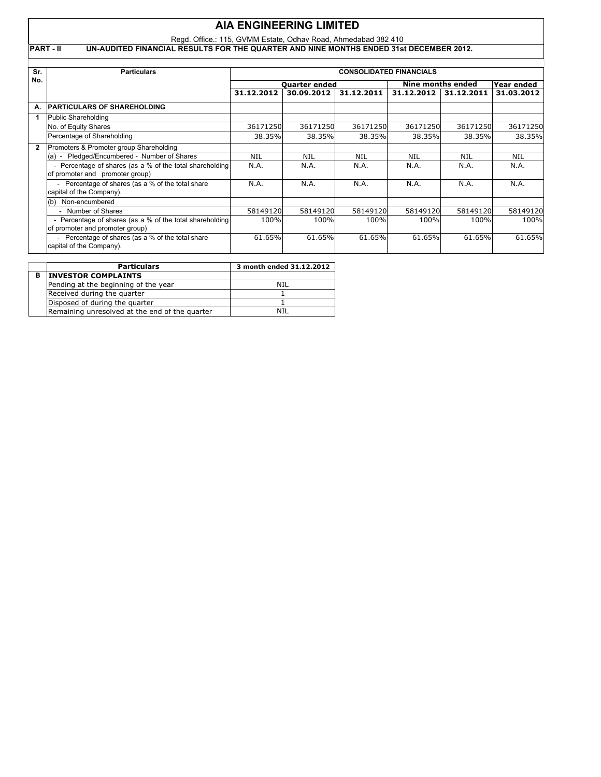## Regd. Office.: 115, GVMM Estate, Odhav Road, Ahmedabad 382 410 **PART - II UN-AUDITED FINANCIAL RESULTS FOR THE QUARTER AND NINE MONTHS ENDED 31st DECEMBER 2012. Sr. Particulars CONSOLIDATED FINANCIALS AIA ENGINEERING LIMITED**

| No.            |                                                          | <b>Ouarter ended</b> |            |            | Nine months ended | Year ended |            |
|----------------|----------------------------------------------------------|----------------------|------------|------------|-------------------|------------|------------|
|                |                                                          | 31.12.2012           | 30.09.2012 | 31.12.2011 | 31.12.2012        | 31.12.2011 | 31.03.2012 |
| А.             | <b>PARTICULARS OF SHAREHOLDING</b>                       |                      |            |            |                   |            |            |
|                | Public Shareholding                                      |                      |            |            |                   |            |            |
|                | No. of Equity Shares                                     | 36171250             | 36171250   | 36171250   | 36171250          | 36171250   | 36171250   |
|                | Percentage of Shareholding                               | 38.35%               | 38.35%     | 38.35%     | 38.35%            | 38.35%     | 38.35%     |
| $\overline{2}$ | Promoters & Promoter group Shareholding                  |                      |            |            |                   |            |            |
|                | (a) - Pledged/Encumbered - Number of Shares              | <b>NIL</b>           | NIL        | NIL        | <b>NIL</b>        | <b>NIL</b> | <b>NIL</b> |
|                | - Percentage of shares (as a % of the total shareholding | N.A.                 | N.A.       | N.A.       | N.A.              | N.A.       | N.A.       |
|                | of promoter and promoter group)                          |                      |            |            |                   |            |            |
|                | - Percentage of shares (as a % of the total share        | N.A.                 | N.A.       | N.A.       | N.A.              | N.A.       | N.A.       |
|                | capital of the Company).                                 |                      |            |            |                   |            |            |
|                | Non-encumbered<br>(b)                                    |                      |            |            |                   |            |            |
|                | Number of Shares                                         | 58149120             | 58149120   | 58149120   | 58149120          | 58149120   | 58149120   |
|                | - Percentage of shares (as a % of the total shareholding | 100%                 | 100%       | 100%       | 100%              | 100%       | 100%       |
|                | of promoter and promoter group)                          |                      |            |            |                   |            |            |
|                | - Percentage of shares (as a % of the total share        | 61.65%               | 61.65%     | 61.65%     | 61.65%            | 61.65%     | 61.65%     |
|                | capital of the Company).                                 |                      |            |            |                   |            |            |

| <b>Particulars</b>                             | 3 month ended 31.12.2012 |
|------------------------------------------------|--------------------------|
| <b>INVESTOR COMPLAINTS</b>                     |                          |
| Pending at the beginning of the year           | NTI                      |
| Received during the quarter                    |                          |
| Disposed of during the quarter                 |                          |
| Remaining unresolved at the end of the quarter | NTI                      |